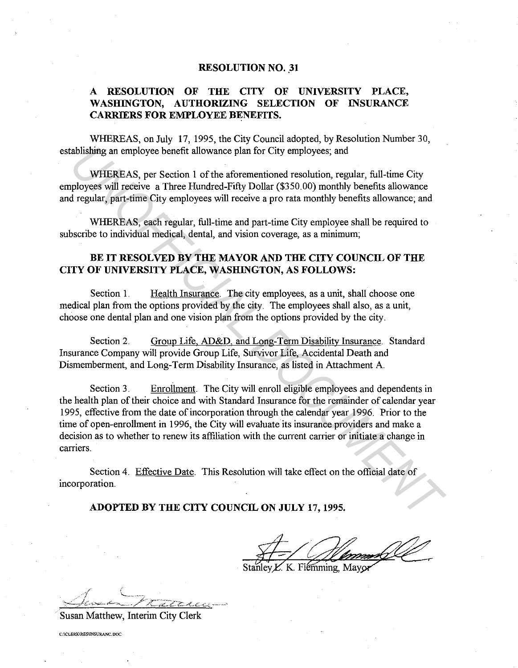#### **RESOLUTION NO. 31**

# **A RESOLUTION OF THE CITY OF UNIVERSITY PLACE, WASHINGTON, AUTHORIZING SELECTION OF INSURANCE CARRIERS FOR EMPLOYEE BENEFITS.**

WHEREAS, on July 17, 1995, the City Council adopted, by Resolution Number 30, establishing an employee benefit allowance plan for City employees; and

WHEREAS, per Section 1 of the aforementioned resolution, regular, full-time City employees will receive a Three Hundred-Fifty Dollar (\$350.00) monthly benefits allowance and regular, part-time City employees will receive a pro rata monthly benefits allowance; and

WHEREAS, each regular, full-time and part-time City employee shall be required to subscribe to individual medical, dental, and vision coverage, as a minimum;

# **BE IT RESOLVED BY THE MAYOR AND THE CITY COUNCIL OF THE CITY OF UNIVERSITY PLACE, WASHINGTON, AS FOLLOWS:**

Section 1. Health Insurance. The city employees, as a unit, shall choose one medical plan from the options provided by the city. The employees shall also, as a unit, choose one dental plan and one vision plan from the options provided by the city.

Section 2. Group Life, AD&D, and Long-Term Disability Insurance. Standard Insurance Company will provide Group Life, Survivor Life, Accidental Death and Dismemberment, and Long-Term Disability Insurance, as listed in Attachment A.

Section 3. Enrollment. The City will enroll eligible employees and dependents in the health plan of their choice and with Standard Insurance for the remainder of calendar year 1995, effective from the date of incorporation through the calendar year 1996. Prior to the time of open-enrollment in 1996, the City will evaluate its insurance providers and make a decision as to whether to renew its affiliation with the current carrier or initiate a change in carriers. **Abishing an employee benefit allowance plan for City employees; and<br>
WHEREAS, per Section 1 of the aforementioned resolution, regular, full-time City<br>
ployees will receive a Three Hundred-Fitfy Doller (\$350 00) monthly be** 

Section 4. Effective Date. This Resolution will take effect on the official date of incorporation.

#### **ADOPTED BY THE CITY COUNCIL ON JULY 17, 1995.**

K. Flémming, Mayor

Susan Matthew, Interim City Clerk

**C:ICLERK\RES\INSURANC.DOC**